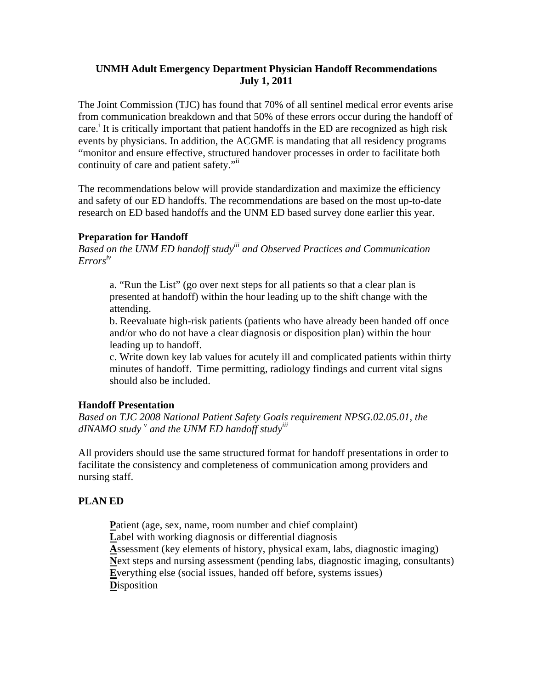## **UNMH Adult Emergency Department Physician Handoff Recommendations July 1, 2011**

The Joint Commission (TJC) has found that 70% of all sentinel medical error events arise from communication breakdown and that 50% of these errors occur during the handoff of care.<sup>i</sup> It is critically important that patient handoffs in the ED are recognized as high risk events by physicians. In addition, the ACGME is mandating that all residency programs "monitor and ensure effective, structured handover processes in order to facilitate both continuity of care and patient safety."

The recommendations below will provide standardization and maximize the efficiency and safety of our ED handoffs. The recommendations are based on the most up-to-date research on ED based handoffs and the UNM ED based survey done earlier this year.

## **Preparation for Handoff**

*Based on the UNM ED handoff studyiii and Observed Practices and Communication Errorsiv*

a. "Run the List" (go over next steps for all patients so that a clear plan is presented at handoff) within the hour leading up to the shift change with the attending.

b. Reevaluate high-risk patients (patients who have already been handed off once and/or who do not have a clear diagnosis or disposition plan) within the hour leading up to handoff.

c. Write down key lab values for acutely ill and complicated patients within thirty minutes of handoff. Time permitting, radiology findings and current vital signs should also be included.

# **Handoff Presentation**

*Based on TJC 2008 National Patient Safety Goals requirement NPSG.02.05.01, the dINAMO study v and the UNM ED handoff studyiii*

All providers should use the same structured format for handoff presentations in order to facilitate the consistency and completeness of communication among providers and nursing staff.

# **PLAN ED**

Patient (age, sex, name, room number and chief complaint) Label with working diagnosis or differential diagnosis **A**ssessment (key elements of history, physical exam, labs, diagnostic imaging) **N**ext steps and nursing assessment (pending labs, diagnostic imaging, consultants) **E**verything else (social issues, handed off before, systems issues) **D**isposition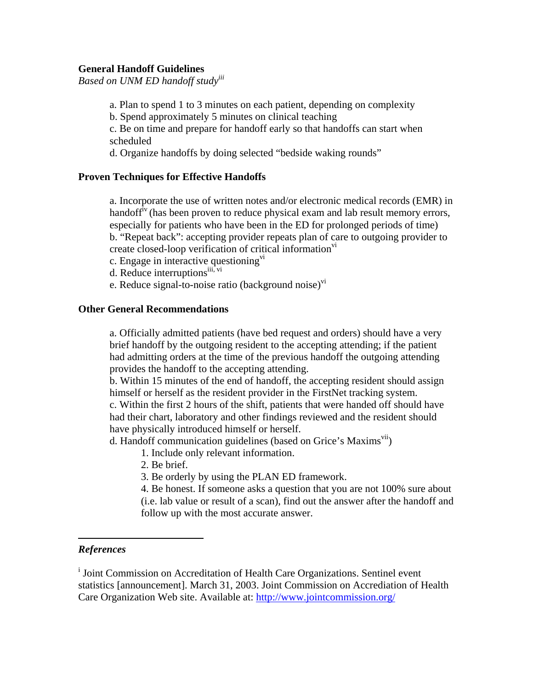#### **General Handoff Guidelines**

*Based on UNM ED handoff studyiii*

- a. Plan to spend 1 to 3 minutes on each patient, depending on complexity
- b. Spend approximately 5 minutes on clinical teaching

c. Be on time and prepare for handoff early so that handoffs can start when scheduled

d. Organize handoffs by doing selected "bedside waking rounds"

#### **Proven Techniques for Effective Handoffs**

a. Incorporate the use of written notes and/or electronic medical records (EMR) in handoff<sup>iv</sup> (has been proven to reduce physical exam and lab result memory errors, especially for patients who have been in the ED for prolonged periods of time) b. "Repeat back": accepting provider repeats plan of care to outgoing provider to create closed-loop verification of critical information<sup>vi</sup>

- c. Engage in interactive questioning $\overline{v}$
- d. Reduce interruptions<sup>iii, vi</sup>
- e. Reduce signal-to-noise ratio (background noise) $\overline{v}$

#### **Other General Recommendations**

a. Officially admitted patients (have bed request and orders) should have a very brief handoff by the outgoing resident to the accepting attending; if the patient had admitting orders at the time of the previous handoff the outgoing attending provides the handoff to the accepting attending.

b. Within 15 minutes of the end of handoff, the accepting resident should assign himself or herself as the resident provider in the FirstNet tracking system.

c. Within the first 2 hours of the shift, patients that were handed off should have had their chart, laboratory and other findings reviewed and the resident should have physically introduced himself or herself.

d. Handoff communication guidelines (based on Grice's Maxims<sup>vii</sup>)

- 1. Include only relevant information.
- 2. Be brief.

3. Be orderly by using the PLAN ED framework.

4. Be honest. If someone asks a question that you are not 100% sure about (i.e. lab value or result of a scan), find out the answer after the handoff and follow up with the most accurate answer.

### *References*

<sup>i</sup> Joint Commission on Accreditation of Health Care Organizations. Sentinel event statistics [announcement]. March 31, 2003. Joint Commission on Accrediation of Health Care Organization Web site. Available at: http://www.jointcommission.org/